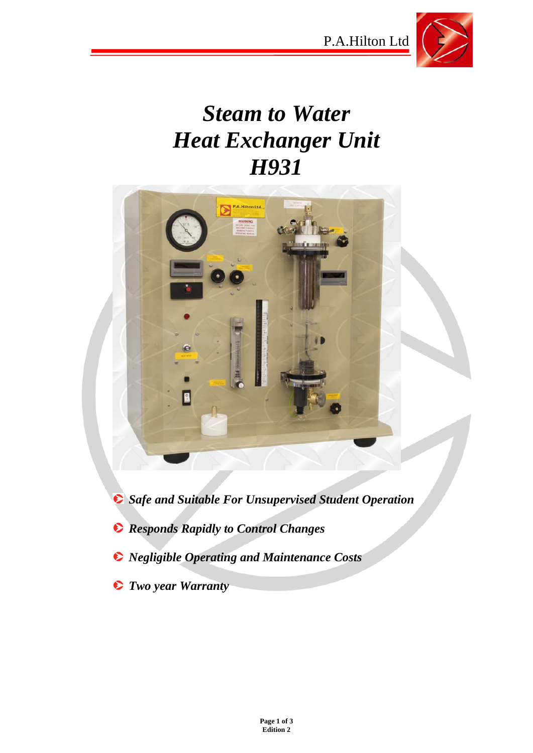P.A.Hilton Ltd



# *Steam to Water Heat Exchanger Unit H931*



*Safe and Suitable For Unsupervised Student Operation* 

- *Responds Rapidly to Control Changes*
- *Negligible Operating and Maintenance Costs*
- *Two year Warranty*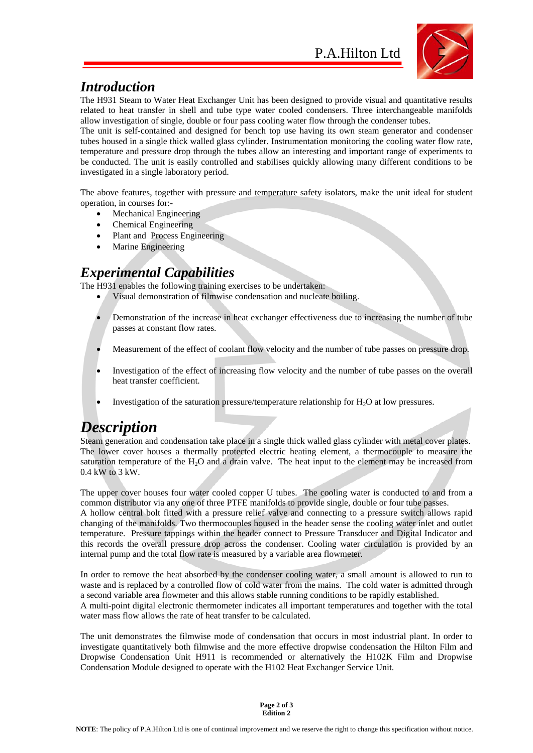

### *Introduction*

The H931 Steam to Water Heat Exchanger Unit has been designed to provide visual and quantitative results related to heat transfer in shell and tube type water cooled condensers. Three interchangeable manifolds allow investigation of single, double or four pass cooling water flow through the condenser tubes.

The unit is self-contained and designed for bench top use having its own steam generator and condenser tubes housed in a single thick walled glass cylinder. Instrumentation monitoring the cooling water flow rate, temperature and pressure drop through the tubes allow an interesting and important range of experiments to be conducted. The unit is easily controlled and stabilises quickly allowing many different conditions to be investigated in a single laboratory period.

The above features, together with pressure and temperature safety isolators, make the unit ideal for student operation, in courses for:-

- Mechanical Engineering
- Chemical Engineering
- Plant and Process Engineering
- Marine Engineering

#### *Experimental Capabilities*

The H931 enables the following training exercises to be undertaken:

- Visual demonstration of filmwise condensation and nucleate boiling.
- Demonstration of the increase in heat exchanger effectiveness due to increasing the number of tube passes at constant flow rates.
- Measurement of the effect of coolant flow velocity and the number of tube passes on pressure drop.
- Investigation of the effect of increasing flow velocity and the number of tube passes on the overall heat transfer coefficient.
- Investigation of the saturation pressure/temperature relationship for  $H_2O$  at low pressures.

## *Description*

Steam generation and condensation take place in a single thick walled glass cylinder with metal cover plates. The lower cover houses a thermally protected electric heating element, a thermocouple to measure the saturation temperature of the  $H_2O$  and a drain valve. The heat input to the element may be increased from 0.4 kW to 3 kW.

The upper cover houses four water cooled copper U tubes. The cooling water is conducted to and from a common distributor via any one of three PTFE manifolds to provide single, double or four tube passes. A hollow central bolt fitted with a pressure relief valve and connecting to a pressure switch allows rapid changing of the manifolds. Two thermocouples housed in the header sense the cooling water inlet and outlet temperature. Pressure tappings within the header connect to Pressure Transducer and Digital Indicator and this records the overall pressure drop across the condenser. Cooling water circulation is provided by an internal pump and the total flow rate is measured by a variable area flowmeter.

In order to remove the heat absorbed by the condenser cooling water, a small amount is allowed to run to waste and is replaced by a controlled flow of cold water from the mains. The cold water is admitted through a second variable area flowmeter and this allows stable running conditions to be rapidly established. A multi-point digital electronic thermometer indicates all important temperatures and together with the total water mass flow allows the rate of heat transfer to be calculated.

The unit demonstrates the filmwise mode of condensation that occurs in most industrial plant. In order to investigate quantitatively both filmwise and the more effective dropwise condensation the Hilton Film and Dropwise Condensation Unit H911 is recommended or alternatively the H102K Film and Dropwise Condensation Module designed to operate with the H102 Heat Exchanger Service Unit.

> **Page 2 of 3 Edition 2**